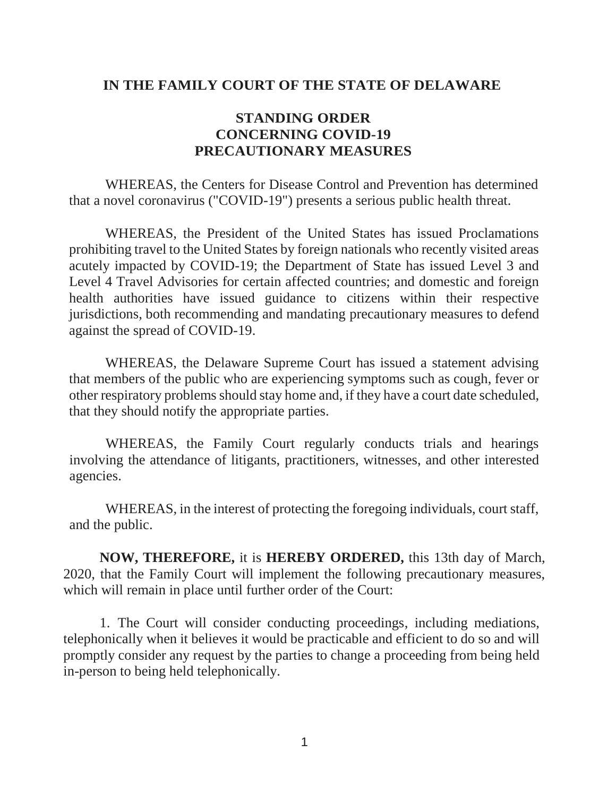## **IN THE FAMILY COURT OF THE STATE OF DELAWARE**

## **STANDING ORDER CONCERNING COVID-19 PRECAUTIONARY MEASURES**

WHEREAS, the Centers for Disease Control and Prevention has determined that a novel coronavirus ("COVID-19") presents a serious public health threat.

WHEREAS, the President of the United States has issued Proclamations prohibiting travel to the United States by foreign nationals who recently visited areas acutely impacted by COVID-19; the Department of State has issued Level 3 and Level 4 Travel Advisories for certain affected countries; and domestic and foreign health authorities have issued guidance to citizens within their respective jurisdictions, both recommending and mandating precautionary measures to defend against the spread of COVID-19.

WHEREAS, the Delaware Supreme Court has issued a statement advising that members of the public who are experiencing symptoms such as cough, fever or other respiratory problems should stay home and, if they have a court date scheduled, that they should notify the appropriate parties.

WHEREAS, the Family Court regularly conducts trials and hearings involving the attendance of litigants, practitioners, witnesses, and other interested agencies.

WHEREAS, in the interest of protecting the foregoing individuals, court staff, and the public.

**NOW, THEREFORE,** it is **HEREBY ORDERED,** this 13th day of March, 2020, that the Family Court will implement the following precautionary measures, which will remain in place until further order of the Court:

1. The Court will consider conducting proceedings, including mediations, telephonically when it believes it would be practicable and efficient to do so and will promptly consider any request by the parties to change a proceeding from being held in-person to being held telephonically.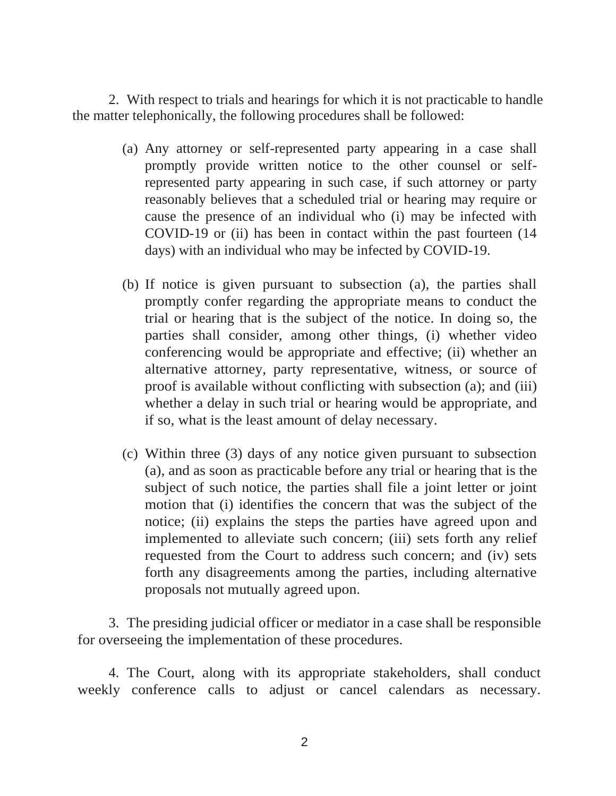2. With respect to trials and hearings for which it is not practicable to handle the matter telephonically, the following procedures shall be followed:

- (a) Any attorney or self-represented party appearing in a case shall promptly provide written notice to the other counsel or selfrepresented party appearing in such case, if such attorney or party reasonably believes that a scheduled trial or hearing may require or cause the presence of an individual who (i) may be infected with COVID-19 or (ii) has been in contact within the past fourteen (14 days) with an individual who may be infected by COVID-19.
- (b) If notice is given pursuant to subsection (a), the parties shall promptly confer regarding the appropriate means to conduct the trial or hearing that is the subject of the notice. In doing so, the parties shall consider, among other things, (i) whether video conferencing would be appropriate and effective; (ii) whether an alternative attorney, party representative, witness, or source of proof is available without conflicting with subsection (a); and (iii) whether a delay in such trial or hearing would be appropriate, and if so, what is the least amount of delay necessary.
- (c) Within three (3) days of any notice given pursuant to subsection (a), and as soon as practicable before any trial or hearing that is the subject of such notice, the parties shall file a joint letter or joint motion that (i) identifies the concern that was the subject of the notice; (ii) explains the steps the parties have agreed upon and implemented to alleviate such concern; (iii) sets forth any relief requested from the Court to address such concern; and (iv) sets forth any disagreements among the parties, including alternative proposals not mutually agreed upon.

3. The presiding judicial officer or mediator in a case shall be responsible for overseeing the implementation of these procedures.

4. The Court, along with its appropriate stakeholders, shall conduct weekly conference calls to adjust or cancel calendars as necessary.